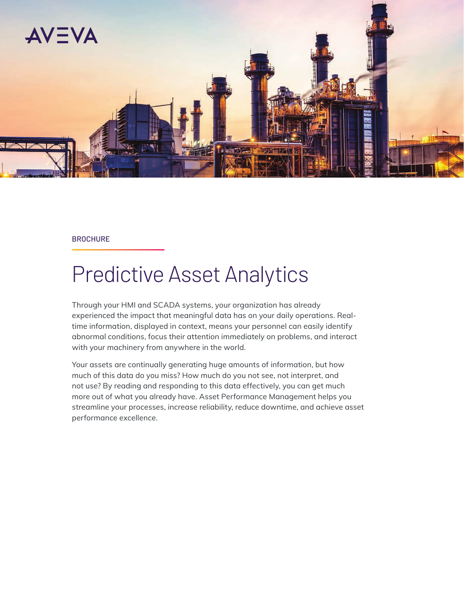

#### **BROCHURE**

# Predictive Asset Analytics

Through your HMI and SCADA systems, your organization has already experienced the impact that meaningful data has on your daily operations. Realtime information, displayed in context, means your personnel can easily identify abnormal conditions, focus their attention immediately on problems, and interact with your machinery from anywhere in the world.

Your assets are continually generating huge amounts of information, but how much of this data do you miss? How much do you not see, not interpret, and not use? By reading and responding to this data effectively, you can get much more out of what you already have. Asset Performance Management helps you streamline your processes, increase reliability, reduce downtime, and achieve asset performance excellence.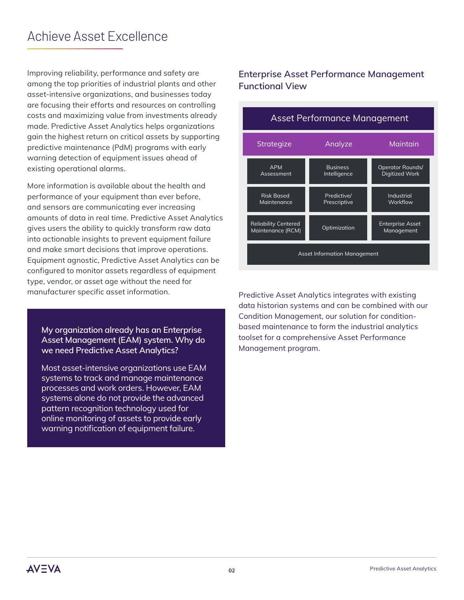## Achieve Asset Excellence

Improving reliability, performance and safety are among the top priorities of industrial plants and other asset-intensive organizations, and businesses today are focusing their efforts and resources on controlling costs and maximizing value from investments already made. Predictive Asset Analytics helps organizations gain the highest return on critical assets by supporting predictive maintenance (PdM) programs with early warning detection of equipment issues ahead of existing operational alarms.

More information is available about the health and performance of your equipment than ever before, and sensors are communicating ever increasing amounts of data in real time. Predictive Asset Analytics gives users the ability to quickly transform raw data into actionable insights to prevent equipment failure and make smart decisions that improve operations. Equipment agnostic, Predictive Asset Analytics can be configured to monitor assets regardless of equipment type, vendor, or asset age without the need for manufacturer specific asset information.

**My organization already has an Enterprise Asset Management (EAM) system. Why do we need Predictive Asset Analytics?**

Most asset-intensive organizations use EAM systems to track and manage maintenance processes and work orders. However, EAM systems alone do not provide the advanced pattern recognition technology used for online monitoring of assets to provide early warning notification of equipment failure.

#### **Enterprise Asset Performance Management Functional View**



Predictive Asset Analytics integrates with existing data historian systems and can be combined with our Condition Management, our solution for conditionbased maintenance to form the industrial analytics toolset for a comprehensive Asset Performance Management program.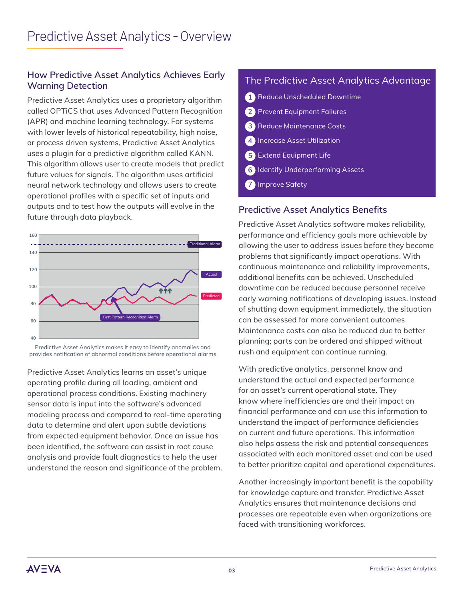### **How Predictive Asset Analytics Achieves Early Warning Detection**

Predictive Asset Analytics uses a proprietary algorithm called OPTiCS that uses Advanced Pattern Recognition (APR) and machine learning technology. For systems with lower levels of historical repeatability, high noise, or process driven systems, Predictive Asset Analytics uses a plugin for a predictive algorithm called KANN. This algorithm allows user to create models that predict future values for signals. The algorithm uses artificial neural network technology and allows users to create operational profiles with a specific set of inputs and outputs and to test how the outputs will evolve in the future through data playback.



Predictive Asset Analytics makes it easy to identify anomalies and provides notification of abnormal conditions before operational alarms.

Predictive Asset Analytics learns an asset's unique operating profile during all loading, ambient and operational process conditions. Existing machinery sensor data is input into the software's advanced modeling process and compared to real-time operating data to determine and alert upon subtle deviations from expected equipment behavior. Once an issue has been identified, the software can assist in root cause analysis and provide fault diagnostics to help the user understand the reason and significance of the problem.

### The Predictive Asset Analytics Advantage

| 1 Reduce Unscheduled Downtime            |  |
|------------------------------------------|--|
| 2 Prevent Equipment Failures             |  |
| <b>3</b> Reduce Maintenance Costs        |  |
| (4) Increase Asset Utilization           |  |
| 5 Extend Equipment Life                  |  |
| <b>6</b> Identify Underperforming Assets |  |
| <b>7</b> Improve Safety                  |  |

### **Predictive Asset Analytics Benefits**

Predictive Asset Analytics software makes reliability, performance and efficiency goals more achievable by allowing the user to address issues before they become problems that significantly impact operations. With continuous maintenance and reliability improvements, additional benefits can be achieved. Unscheduled downtime can be reduced because personnel receive early warning notifications of developing issues. Instead of shutting down equipment immediately, the situation can be assessed for more convenient outcomes. Maintenance costs can also be reduced due to better planning; parts can be ordered and shipped without rush and equipment can continue running.

With predictive analytics, personnel know and understand the actual and expected performance for an asset's current operational state. They know where inefficiencies are and their impact on financial performance and can use this information to understand the impact of performance deficiencies on current and future operations. This information also helps assess the risk and potential consequences associated with each monitored asset and can be used to better prioritize capital and operational expenditures.

Another increasingly important benefit is the capability for knowledge capture and transfer. Predictive Asset Analytics ensures that maintenance decisions and processes are repeatable even when organizations are faced with transitioning workforces.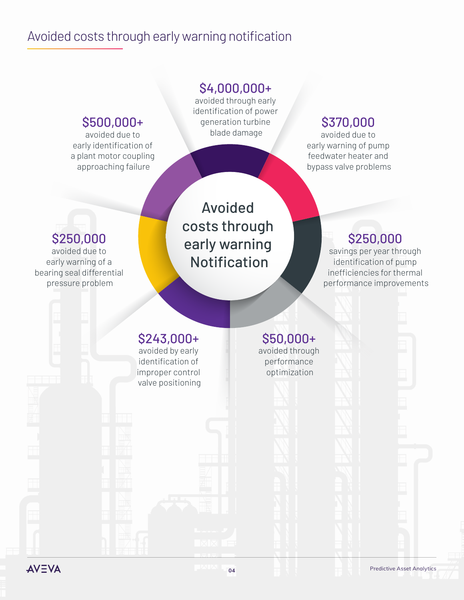# Avoided costs through early warning notification



**AVEVA** 

**04** Predictive Asset Analytics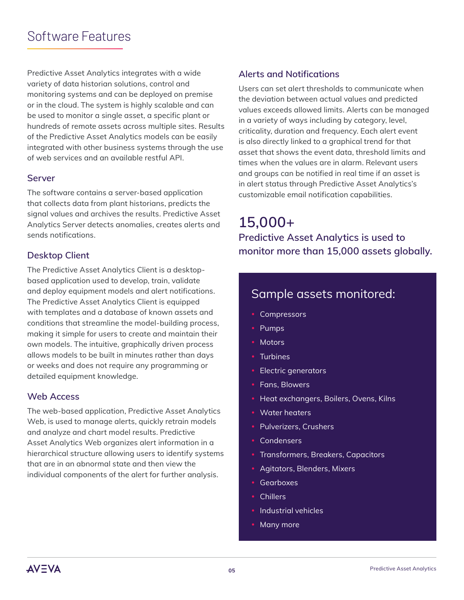# Software Features

Predictive Asset Analytics integrates with a wide variety of data historian solutions, control and monitoring systems and can be deployed on premise or in the cloud. The system is highly scalable and can be used to monitor a single asset, a specific plant or hundreds of remote assets across multiple sites. Results of the Predictive Asset Analytics models can be easily integrated with other business systems through the use of web services and an available restful API.

#### **Server**

The software contains a server-based application that collects data from plant historians, predicts the signal values and archives the results. Predictive Asset Analytics Server detects anomalies, creates alerts and sends notifications.

#### **Desktop Client**

The Predictive Asset Analytics Client is a desktopbased application used to develop, train, validate and deploy equipment models and alert notifications. The Predictive Asset Analytics Client is equipped with templates and a database of known assets and conditions that streamline the model-building process, making it simple for users to create and maintain their own models. The intuitive, graphically driven process allows models to be built in minutes rather than days or weeks and does not require any programming or detailed equipment knowledge.

#### **Web Access**

The web-based application, Predictive Asset Analytics Web, is used to manage alerts, quickly retrain models and analyze and chart model results. Predictive Asset Analytics Web organizes alert information in a hierarchical structure allowing users to identify systems that are in an abnormal state and then view the individual components of the alert for further analysis.

#### **Alerts and Notifications**

Users can set alert thresholds to communicate when the deviation between actual values and predicted values exceeds allowed limits. Alerts can be managed in a variety of ways including by category, level, criticality, duration and frequency. Each alert event is also directly linked to a graphical trend for that asset that shows the event data, threshold limits and times when the values are in alarm. Relevant users and groups can be notified in real time if an asset is in alert status through Predictive Asset Analytics's customizable email notification capabilities.

**15,000+ Predictive Asset Analytics is used to monitor more than 15,000 assets globally.**

### Sample assets monitored:

- Compressors
- Pumps
- Motors
- Turbines
- **Electric generators**
- Fans, Blowers
- Heat exchangers, Boilers, Ovens, Kilns
- Water heaters
- Pulverizers, Crushers
- **Condensers**
- Transformers, Breakers, Capacitors
- Agitators, Blenders, Mixers
- **Gearboxes**
- **Chillers**
- Industrial vehicles
- Many more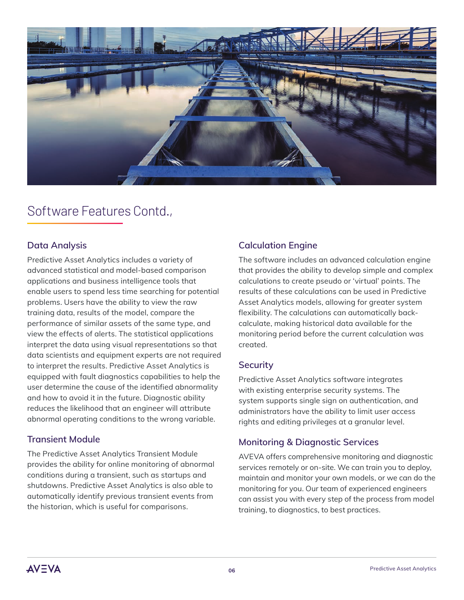

# Software Features Contd.,

#### **Data Analysis**

Predictive Asset Analytics includes a variety of advanced statistical and model-based comparison applications and business intelligence tools that enable users to spend less time searching for potential problems. Users have the ability to view the raw training data, results of the model, compare the performance of similar assets of the same type, and view the effects of alerts. The statistical applications interpret the data using visual representations so that data scientists and equipment experts are not required to interpret the results. Predictive Asset Analytics is equipped with fault diagnostics capabilities to help the user determine the cause of the identified abnormality and how to avoid it in the future. Diagnostic ability reduces the likelihood that an engineer will attribute abnormal operating conditions to the wrong variable.

#### **Transient Module**

The Predictive Asset Analytics Transient Module provides the ability for online monitoring of abnormal conditions during a transient, such as startups and shutdowns. Predictive Asset Analytics is also able to automatically identify previous transient events from the historian, which is useful for comparisons.

#### **Calculation Engine**

The software includes an advanced calculation engine that provides the ability to develop simple and complex calculations to create pseudo or 'virtual' points. The results of these calculations can be used in Predictive Asset Analytics models, allowing for greater system flexibility. The calculations can automatically backcalculate, making historical data available for the monitoring period before the current calculation was created.

#### **Security**

Predictive Asset Analytics software integrates with existing enterprise security systems. The system supports single sign on authentication, and administrators have the ability to limit user access rights and editing privileges at a granular level.

#### **Monitoring & Diagnostic Services**

AVEVA offers comprehensive monitoring and diagnostic services remotely or on-site. We can train you to deploy, maintain and monitor your own models, or we can do the monitoring for you. Our team of experienced engineers can assist you with every step of the process from model training, to diagnostics, to best practices.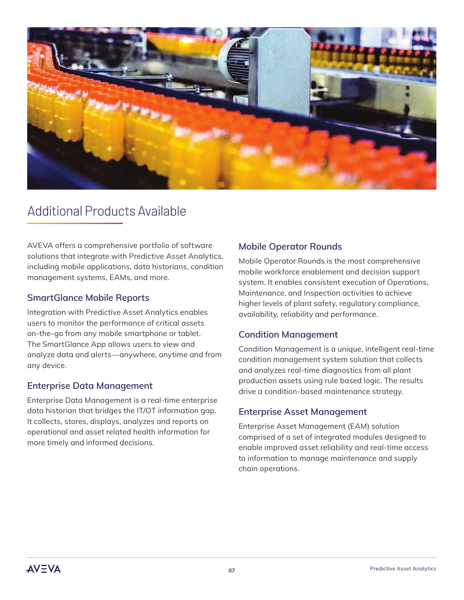

### Additional Products Available

AVEVA offers a comprehensive portfolio of software solutions that integrate with Predictive Asset Analytics, including mobile applications, data historians, condition management systems, EAMs, and more.

#### **[SmartGlance Mobile Reports](https://www.wonderware.com/industrial-information-management/smartglance/)**

Integration with Predictive Asset Analytics enables users to monitor the performance of critical assets on-the-go from any mobile smartphone or tablet. The SmartGlance App allows users to view and analyze data and alerts—anywhere, anytime and from any device.

#### **Enterprise Data Management**

Enterprise Data Management is a real-time enterprise data historian that bridges the IT/OT information gap. It collects, stores, displays, analyzes and reports on operational and asset related health information for more timely and informed decisions.

#### **[Mobile Operator Rounds](http://software.schneider-electric.com/products/wonderware/manufacturing-operations-management/intelatrac/)**

Mobile Operator Rounds is the most comprehensive mobile workforce enablement and decision support system. It enables consistent execution of Operations, Maintenance, and Inspection activities to achieve higher levels of plant safety, regulatory compliance, availability, reliability and performance.

#### **Condition Management**

Condition Management is a unique, intelligent real-time condition management system solution that collects and analyzes real-time diagnostics from all plant production assets using rule based logic. The results drive a condition-based maintenance strategy.

#### **[Enterprise Asset Management](http://software.schneider-electric.com/products/avantis/enterprise-asset-management/)**

Enterprise Asset Management (EAM) solution comprised of a set of integrated modules designed to enable improved asset reliability and real-time access to information to manage maintenance and supply chain operations.